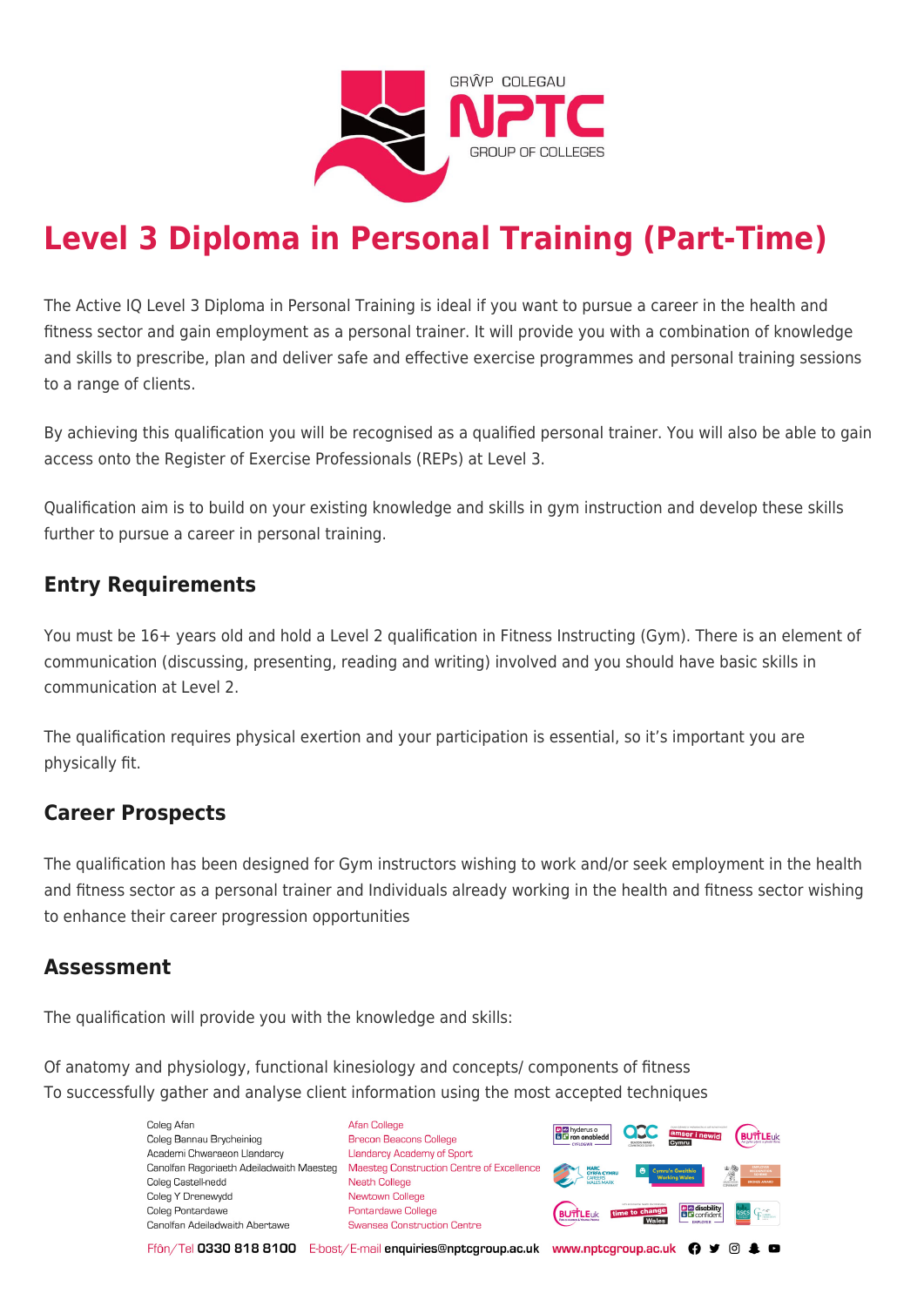

# **Level 3 Diploma in Personal Training (Part-Time)**

The Active IQ Level 3 Diploma in Personal Training is ideal if you want to pursue a career in the health and fitness sector and gain employment as a personal trainer. It will provide you with a combination of knowledge and skills to prescribe, plan and deliver safe and effective exercise programmes and personal training sessions to a range of clients.

By achieving this qualification you will be recognised as a qualified personal trainer. You will also be able to gain access onto the Register of Exercise Professionals (REPs) at Level 3.

Qualification aim is to build on your existing knowledge and skills in gym instruction and develop these skills further to pursue a career in personal training.

## **Entry Requirements**

You must be 16+ years old and hold a Level 2 qualification in Fitness Instructing (Gym). There is an element of communication (discussing, presenting, reading and writing) involved and you should have basic skills in communication at Level 2.

The qualification requires physical exertion and your participation is essential, so it's important you are physically fit.

## **Career Prospects**

The qualification has been designed for Gym instructors wishing to work and/or seek employment in the health and fitness sector as a personal trainer and Individuals already working in the health and fitness sector wishing to enhance their career progression opportunities

## **Assessment**

The qualification will provide you with the knowledge and skills:

Of anatomy and physiology, functional kinesiology and concepts/ components of fitness To successfully gather and analyse client information using the most accepted techniques

> Coleg Afar Coleg Bannau Brycheiniog Academi Chwaraeon Llandarcy Canolfan Ragoriaeth Adeiladwaith Maesteg Coleg Castell-nedd Coleg Y Drenewydd Coleg Pontardawe Canolfan Adeiladwaith Abertawe

**Afan College** Brecon Beacons College **Llandarcy Academy of Sport** Maesteg Construction Centre of Excellence Neath College Newtown College Pontardawe College Swansea Construction Centre



Ffôn/Tel 0330 818 8100 E-bost/E-mail enquiries@nptcgroup.ac.uk www.nptcgroup.ac.uk ? • © \$